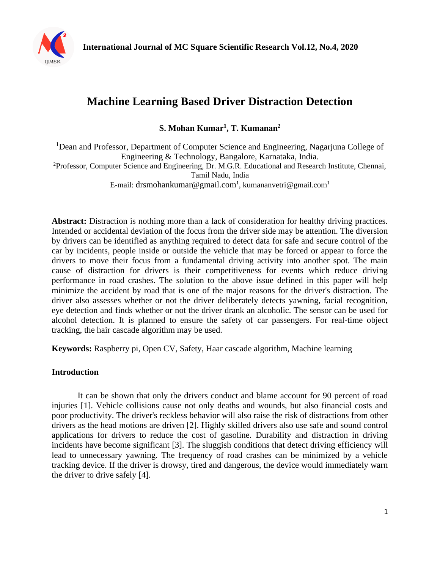

# **Machine Learning Based Driver Distraction Detection**

**S. Mohan Kumar<sup>1</sup> , T. Kumanan<sup>2</sup>**

<sup>1</sup>Dean and Professor, Department of Computer Science and Engineering, Nagarjuna College of Engineering & Technology, Bangalore, Karnataka, India. <sup>2</sup>Professor, Computer Science and Engineering, Dr. M.G.R. Educational and Research Institute, Chennai,

Tamil Nadu, India

E-mail: drsmohankumar@gmail.com<sup>1</sup>, kumananvetri@gmail.com<sup>1</sup>

Abstract: Distraction is nothing more than a lack of consideration for healthy driving practices. Intended or accidental deviation of the focus from the driver side may be attention. The diversion by drivers can be identified as anything required to detect data for safe and secure control of the car by incidents, people inside or outside the vehicle that may be forced or appear to force the drivers to move their focus from a fundamental driving activity into another spot. The main cause of distraction for drivers is their competitiveness for events which reduce driving performance in road crashes. The solution to the above issue defined in this paper will help minimize the accident by road that is one of the major reasons for the driver's distraction. The driver also assesses whether or not the driver deliberately detects yawning, facial recognition, eye detection and finds whether or not the driver drank an alcoholic. The sensor can be used for alcohol detection. It is planned to ensure the safety of car passengers. For real-time object tracking, the hair cascade algorithm may be used.

**Keywords:** Raspberry pi, Open CV, Safety, Haar cascade algorithm, Machine learning

## **Introduction**

It can be shown that only the drivers conduct and blame account for 90 percent of road injuries [1]. Vehicle collisions cause not only deaths and wounds, but also financial costs and poor productivity. The driver's reckless behavior will also raise the risk of distractions from other drivers as the head motions are driven [2]. Highly skilled drivers also use safe and sound control applications for drivers to reduce the cost of gasoline. Durability and distraction in driving incidents have become significant [3]. The sluggish conditions that detect driving efficiency will lead to unnecessary yawning. The frequency of road crashes can be minimized by a vehicle tracking device. If the driver is drowsy, tired and dangerous, the device would immediately warn the driver to drive safely [4].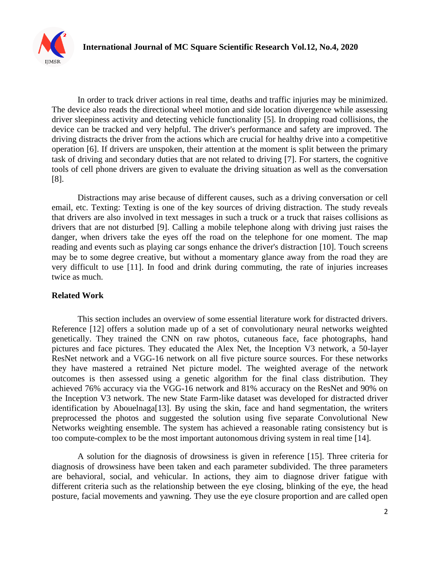

In order to track driver actions in real time, deaths and traffic injuries may be minimized. The device also reads the directional wheel motion and side location divergence while assessing driver sleepiness activity and detecting vehicle functionality [5]. In dropping road collisions, the device can be tracked and very helpful. The driver's performance and safety are improved. The driving distracts the driver from the actions which are crucial for healthy drive into a competitive operation [6]. If drivers are unspoken, their attention at the moment is split between the primary task of driving and secondary duties that are not related to driving [7]. For starters, the cognitive tools of cell phone drivers are given to evaluate the driving situation as well as the conversation [8].

Distractions may arise because of different causes, such as a driving conversation or cell email, etc. Texting: Texting is one of the key sources of driving distraction. The study reveals that drivers are also involved in text messages in such a truck or a truck that raises collisions as drivers that are not disturbed [9]. Calling a mobile telephone along with driving just raises the danger, when drivers take the eyes off the road on the telephone for one moment. The map reading and events such as playing car songs enhance the driver's distraction [10]. Touch screens may be to some degree creative, but without a momentary glance away from the road they are very difficult to use [11]. In food and drink during commuting, the rate of injuries increases twice as much.

### **Related Work**

This section includes an overview of some essential literature work for distracted drivers. Reference [12] offers a solution made up of a set of convolutionary neural networks weighted genetically. They trained the CNN on raw photos, cutaneous face, face photographs, hand pictures and face pictures. They educated the Alex Net, the Inception V3 network, a 50-layer ResNet network and a VGG-16 network on all five picture source sources. For these networks they have mastered a retrained Net picture model. The weighted average of the network outcomes is then assessed using a genetic algorithm for the final class distribution. They achieved 76% accuracy via the VGG-16 network and 81% accuracy on the ResNet and 90% on the Inception V3 network. The new State Farm-like dataset was developed for distracted driver identification by Abouelnaga<sup>[13]</sup>. By using the skin, face and hand segmentation, the writers preprocessed the photos and suggested the solution using five separate Convolutional New Networks weighting ensemble. The system has achieved a reasonable rating consistency but is too compute-complex to be the most important autonomous driving system in real time [14].

A solution for the diagnosis of drowsiness is given in reference [15]. Three criteria for diagnosis of drowsiness have been taken and each parameter subdivided. The three parameters are behavioral, social, and vehicular. In actions, they aim to diagnose driver fatigue with different criteria such as the relationship between the eye closing, blinking of the eye, the head posture, facial movements and yawning. They use the eye closure proportion and are called open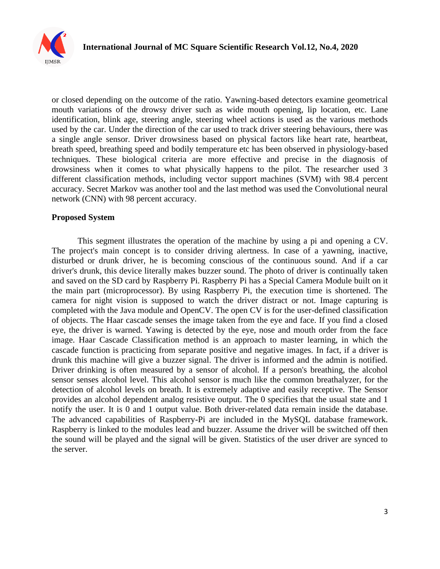

or closed depending on the outcome of the ratio. Yawning-based detectors examine geometrical mouth variations of the drowsy driver such as wide mouth opening, lip location, etc. Lane identification, blink age, steering angle, steering wheel actions is used as the various methods used by the car. Under the direction of the car used to track driver steering behaviours, there was a single angle sensor. Driver drowsiness based on physical factors like heart rate, heartbeat, breath speed, breathing speed and bodily temperature etc has been observed in physiology-based techniques. These biological criteria are more effective and precise in the diagnosis of drowsiness when it comes to what physically happens to the pilot. The researcher used 3 different classification methods, including vector support machines (SVM) with 98.4 percent accuracy. Secret Markov was another tool and the last method was used the Convolutional neural network (CNN) with 98 percent accuracy.

#### **Proposed System**

This segment illustrates the operation of the machine by using a pi and opening a CV. The project's main concept is to consider driving alertness. In case of a yawning, inactive, disturbed or drunk driver, he is becoming conscious of the continuous sound. And if a car driver's drunk, this device literally makes buzzer sound. The photo of driver is continually taken and saved on the SD card by Raspberry Pi. Raspberry Pi has a Special Camera Module built on it the main part (microprocessor). By using Raspberry Pi, the execution time is shortened. The camera for night vision is supposed to watch the driver distract or not. Image capturing is completed with the Java module and OpenCV. The open CV is for the user-defined classification of objects. The Haar cascade senses the image taken from the eye and face. If you find a closed eye, the driver is warned. Yawing is detected by the eye, nose and mouth order from the face image. Haar Cascade Classification method is an approach to master learning, in which the cascade function is practicing from separate positive and negative images. In fact, if a driver is drunk this machine will give a buzzer signal. The driver is informed and the admin is notified. Driver drinking is often measured by a sensor of alcohol. If a person's breathing, the alcohol sensor senses alcohol level. This alcohol sensor is much like the common breathalyzer, for the detection of alcohol levels on breath. It is extremely adaptive and easily receptive. The Sensor provides an alcohol dependent analog resistive output. The 0 specifies that the usual state and 1 notify the user. It is 0 and 1 output value. Both driver-related data remain inside the database. The advanced capabilities of Raspberry-Pi are included in the MySQL database framework. Raspberry is linked to the modules lead and buzzer. Assume the driver will be switched off then the sound will be played and the signal will be given. Statistics of the user driver are synced to the server.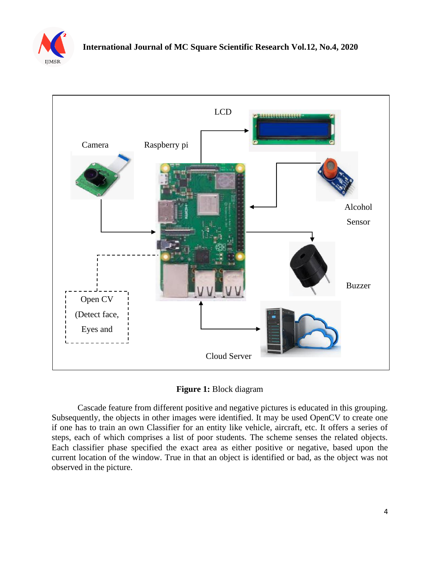



**Figure 1:** Block diagram

Cascade feature from different positive and negative pictures is educated in this grouping. Subsequently, the objects in other images were identified. It may be used OpenCV to create one if one has to train an own Classifier for an entity like vehicle, aircraft, etc. It offers a series of steps, each of which comprises a list of poor students. The scheme senses the related objects. Each classifier phase specified the exact area as either positive or negative, based upon the current location of the window. True in that an object is identified or bad, as the object was not observed in the picture.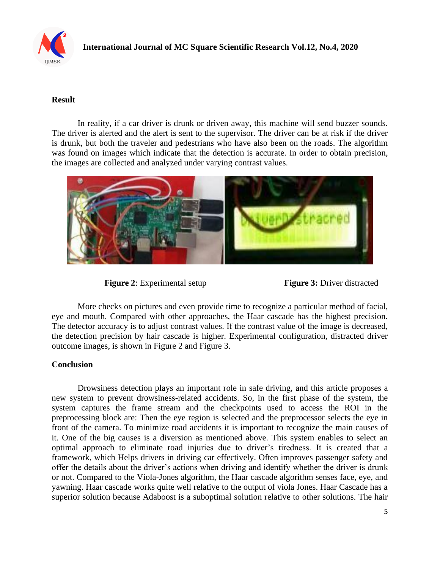

## **Result**

In reality, if a car driver is drunk or driven away, this machine will send buzzer sounds. The driver is alerted and the alert is sent to the supervisor. The driver can be at risk if the driver is drunk, but both the traveler and pedestrians who have also been on the roads. The algorithm was found on images which indicate that the detection is accurate. In order to obtain precision, the images are collected and analyzed under varying contrast values.



**Figure 2:** Experimental setup **Figure 3:** Driver distracted

More checks on pictures and even provide time to recognize a particular method of facial, eye and mouth. Compared with other approaches, the Haar cascade has the highest precision. The detector accuracy is to adjust contrast values. If the contrast value of the image is decreased, the detection precision by hair cascade is higher. Experimental configuration, distracted driver outcome images, is shown in Figure 2 and Figure 3.

## **Conclusion**

Drowsiness detection plays an important role in safe driving, and this article proposes a new system to prevent drowsiness-related accidents. So, in the first phase of the system, the system captures the frame stream and the checkpoints used to access the ROI in the preprocessing block are: Then the eye region is selected and the preprocessor selects the eye in front of the camera. To minimize road accidents it is important to recognize the main causes of it. One of the big causes is a diversion as mentioned above. This system enables to select an optimal approach to eliminate road injuries due to driver's tiredness. It is created that a framework, which Helps drivers in driving car effectively. Often improves passenger safety and offer the details about the driver's actions when driving and identify whether the driver is drunk or not. Compared to the Viola-Jones algorithm, the Haar cascade algorithm senses face, eye, and yawning. Haar cascade works quite well relative to the output of viola Jones. Haar Cascade has a superior solution because Adaboost is a suboptimal solution relative to other solutions. The hair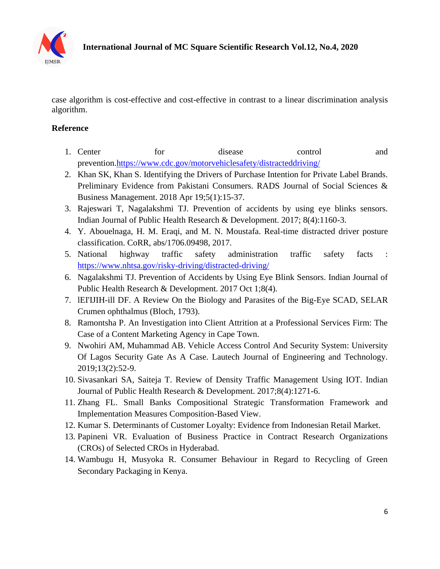

case algorithm is cost-effective and cost-effective in contrast to a linear discrimination analysis algorithm.

## **Reference**

- 1. Center for disease control and prevention[.https://www.cdc.gov/motorvehiclesafety/distracteddriving/](https://www.cdc.gov/motorvehiclesafety/distracteddriving/)
- 2. Khan SK, Khan S. Identifying the Drivers of Purchase Intention for Private Label Brands. Preliminary Evidence from Pakistani Consumers. RADS Journal of Social Sciences & Business Management. 2018 Apr 19;5(1):15-37.
- 3. Rajeswari T, Nagalakshmi TJ. Prevention of accidents by using eye blinks sensors. Indian Journal of Public Health Research & Development. 2017; 8(4):1160-3.
- 4. Y. Abouelnaga, H. M. Eraqi, and M. N. Moustafa. Real-time distracted driver posture classification. CoRR, abs/1706.09498, 2017.
- 5. National highway traffic safety administration traffic safety facts : <https://www.nhtsa.gov/risky-driving/distracted-driving/>
- 6. Nagalakshmi TJ. Prevention of Accidents by Using Eye Blink Sensors. Indian Journal of Public Health Research & Development. 2017 Oct 1;8(4).
- 7. lEI'IJIH-ill DF. A Review On the Biology and Parasites of the Big-Eye SCAD, SELAR Crumen ophthalmus (Bloch, 1793).
- 8. Ramontsha P. An Investigation into Client Attrition at a Professional Services Firm: The Case of a Content Marketing Agency in Cape Town.
- 9. Nwohiri AM, Muhammad AB. Vehicle Access Control And Security System: University Of Lagos Security Gate As A Case. Lautech Journal of Engineering and Technology. 2019;13(2):52-9.
- 10. Sivasankari SA, Saiteja T. Review of Density Traffic Management Using IOT. Indian Journal of Public Health Research & Development. 2017;8(4):1271-6.
- 11. Zhang FL. Small Banks Compositional Strategic Transformation Framework and Implementation Measures Composition-Based View.
- 12. Kumar S. Determinants of Customer Loyalty: Evidence from Indonesian Retail Market.
- 13. Papineni VR. Evaluation of Business Practice in Contract Research Organizations (CROs) of Selected CROs in Hyderabad.
- 14. Wambugu H, Musyoka R. Consumer Behaviour in Regard to Recycling of Green Secondary Packaging in Kenya.